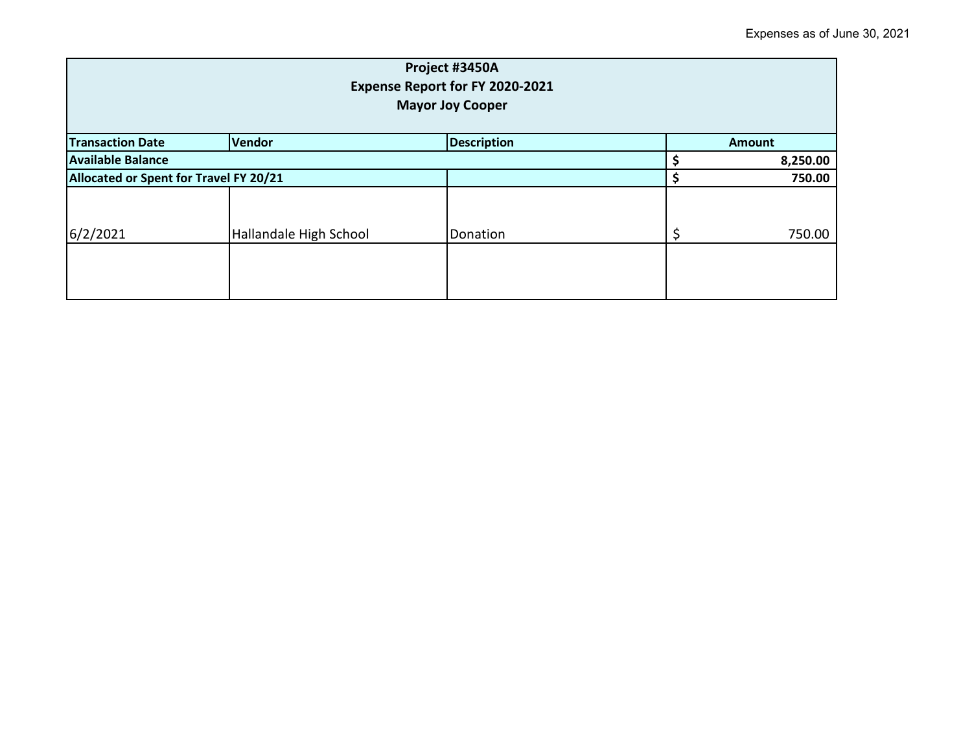| Project #3450A<br>Expense Report for FY 2020-2021<br><b>Mayor Joy Cooper</b> |                        |               |  |          |  |
|------------------------------------------------------------------------------|------------------------|---------------|--|----------|--|
| <b>Transaction Date</b>                                                      | <b>Vendor</b>          | <b>Amount</b> |  |          |  |
| <b>Available Balance</b>                                                     |                        |               |  | 8,250.00 |  |
| Allocated or Spent for Travel FY 20/21                                       |                        |               |  | 750.00   |  |
|                                                                              |                        |               |  |          |  |
| 6/2/2021                                                                     | Hallandale High School | Donation      |  | 750.00   |  |
|                                                                              |                        |               |  |          |  |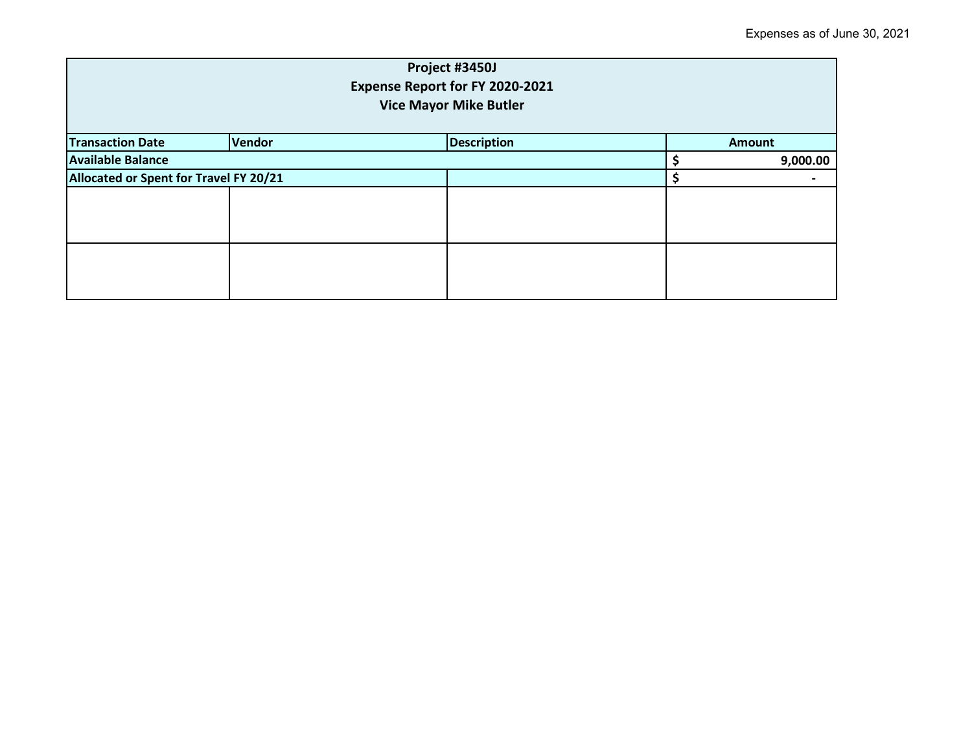| Project #3450J<br>Expense Report for FY 2020-2021<br><b>Vice Mayor Mike Butler</b> |        |                    |  |               |  |
|------------------------------------------------------------------------------------|--------|--------------------|--|---------------|--|
| <b>Transaction Date</b>                                                            | Vendor | <b>Description</b> |  | <b>Amount</b> |  |
| <b>Available Balance</b>                                                           |        |                    |  | 9,000.00      |  |
| Allocated or Spent for Travel FY 20/21                                             |        |                    |  |               |  |
|                                                                                    |        |                    |  |               |  |
|                                                                                    |        |                    |  |               |  |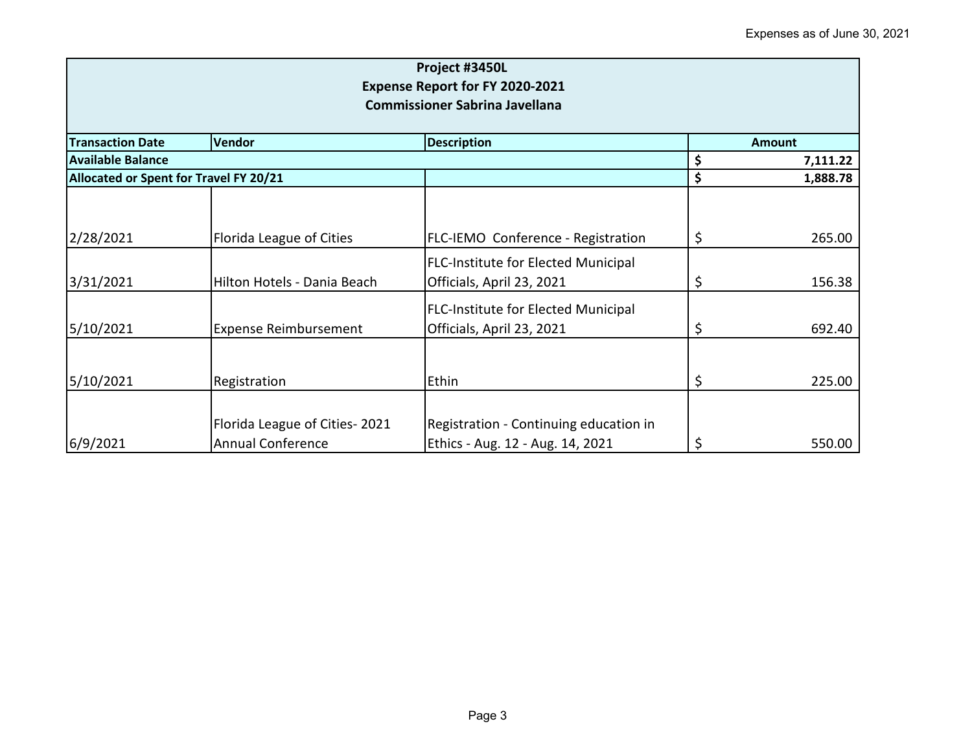| Project #3450L<br><b>Expense Report for FY 2020-2021</b><br><b>Commissioner Sabrina Javellana</b> |                                                           |                                                                            |        |          |  |
|---------------------------------------------------------------------------------------------------|-----------------------------------------------------------|----------------------------------------------------------------------------|--------|----------|--|
| <b>Transaction Date</b>                                                                           | Vendor                                                    | <b>Description</b>                                                         | Amount |          |  |
| <b>Available Balance</b>                                                                          |                                                           |                                                                            | \$     | 7,111.22 |  |
| Allocated or Spent for Travel FY 20/21                                                            |                                                           |                                                                            | \$     | 1,888.78 |  |
| 2/28/2021                                                                                         | Florida League of Cities                                  | FLC-IEMO Conference - Registration                                         | \$     | 265.00   |  |
| 3/31/2021                                                                                         | Hilton Hotels - Dania Beach                               | <b>FLC-Institute for Elected Municipal</b><br>Officials, April 23, 2021    | \$     | 156.38   |  |
| 5/10/2021                                                                                         | <b>Expense Reimbursement</b>                              | <b>FLC-Institute for Elected Municipal</b><br>Officials, April 23, 2021    | \$     | 692.40   |  |
| 5/10/2021                                                                                         | Registration                                              | Ethin                                                                      | \$     | 225.00   |  |
| 6/9/2021                                                                                          | Florida League of Cities-2021<br><b>Annual Conference</b> | Registration - Continuing education in<br>Ethics - Aug. 12 - Aug. 14, 2021 | \$     | 550.00   |  |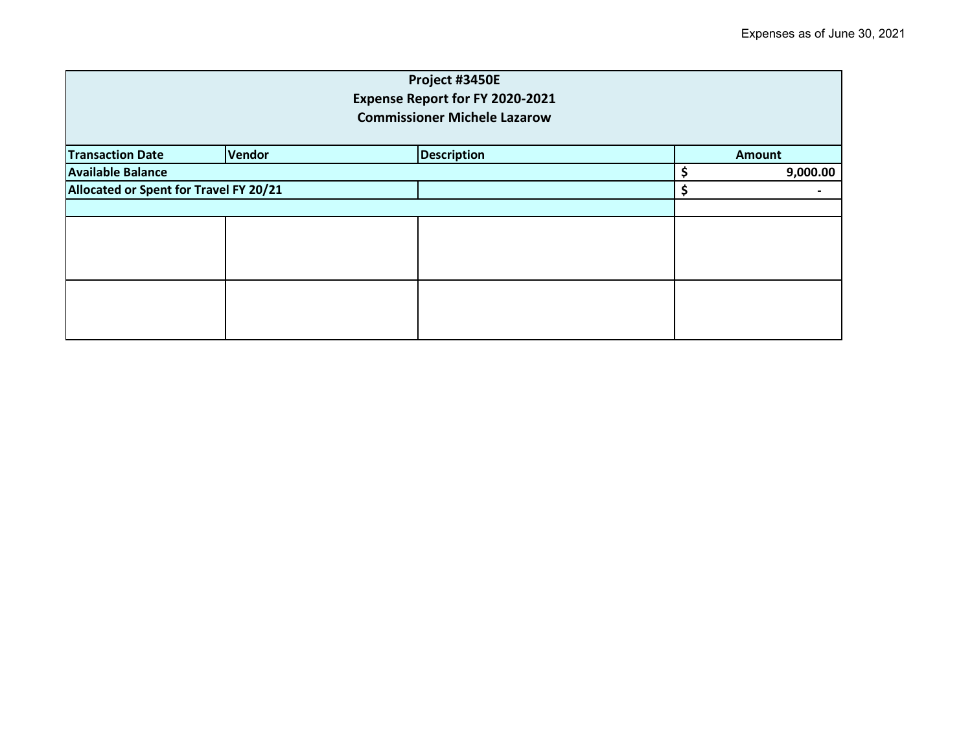| Project #3450E<br>Expense Report for FY 2020-2021<br><b>Commissioner Michele Lazarow</b> |        |                    |          |               |  |
|------------------------------------------------------------------------------------------|--------|--------------------|----------|---------------|--|
| <b>Transaction Date</b>                                                                  | Vendor | <b>Description</b> |          | <b>Amount</b> |  |
| <b>Available Balance</b>                                                                 |        |                    | 9,000.00 |               |  |
| Allocated or Spent for Travel FY 20/21                                                   |        |                    | \$       |               |  |
|                                                                                          |        |                    |          |               |  |
|                                                                                          |        |                    |          |               |  |
|                                                                                          |        |                    |          |               |  |
|                                                                                          |        |                    |          |               |  |
|                                                                                          |        |                    |          |               |  |
|                                                                                          |        |                    |          |               |  |
|                                                                                          |        |                    |          |               |  |